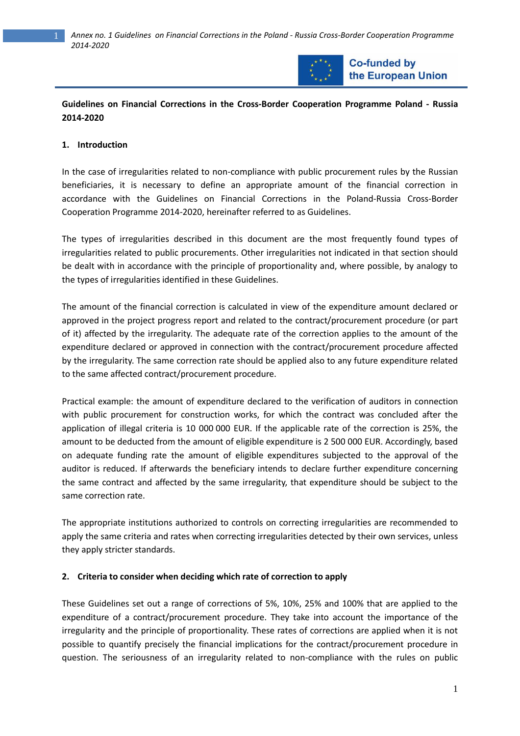

**Co-funded by** the European Union

## **Guidelines on Financial Corrections in the Cross-Border Cooperation Programme Poland - Russia 2014-2020**

### **1. Introduction**

In the case of irregularities related to non-compliance with public procurement rules by the Russian beneficiaries, it is necessary to define an appropriate amount of the financial correction in accordance with the Guidelines on Financial Corrections in the Poland-Russia Cross-Border Cooperation Programme 2014-2020, hereinafter referred to as Guidelines.

The types of irregularities described in this document are the most frequently found types of irregularities related to public procurements. Other irregularities not indicated in that section should be dealt with in accordance with the principle of proportionality and, where possible, by analogy to the types of irregularities identified in these Guidelines.

The amount of the financial correction is calculated in view of the expenditure amount declared or approved in the project progress report and related to the contract/procurement procedure (or part of it) affected by the irregularity. The adequate rate of the correction applies to the amount of the expenditure declared or approved in connection with the contract/procurement procedure affected by the irregularity. The same correction rate should be applied also to any future expenditure related to the same affected contract/procurement procedure.

Practical example: the amount of expenditure declared to the verification of auditors in connection with public procurement for construction works, for which the contract was concluded after the application of illegal criteria is 10 000 000 EUR. If the applicable rate of the correction is 25%, the amount to be deducted from the amount of eligible expenditure is 2 500 000 EUR. Accordingly, based on adequate funding rate the amount of eligible expenditures subjected to the approval of the auditor is reduced. If afterwards the beneficiary intends to declare further expenditure concerning the same contract and affected by the same irregularity, that expenditure should be subject to the same correction rate.

The appropriate institutions authorized to controls on correcting irregularities are recommended to apply the same criteria and rates when correcting irregularities detected by their own services, unless they apply stricter standards.

### **2. Criteria to consider when deciding which rate of correction to apply**

These Guidelines set out a range of corrections of 5%, 10%, 25% and 100% that are applied to the expenditure of a contract/procurement procedure. They take into account the importance of the irregularity and the principle of proportionality. These rates of corrections are applied when it is not possible to quantify precisely the financial implications for the contract/procurement procedure in question. The seriousness of an irregularity related to non-compliance with the rules on public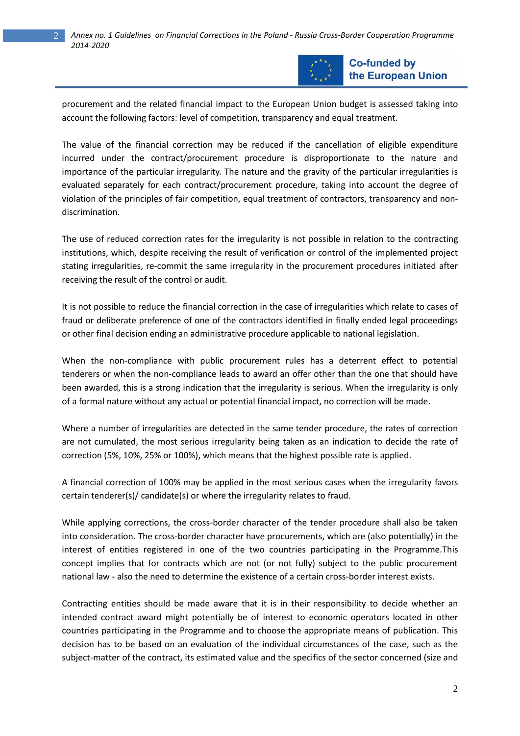

**Co-funded by** the European Union

procurement and the related financial impact to the European Union budget is assessed taking into account the following factors: level of competition, transparency and equal treatment.

The value of the financial correction may be reduced if the cancellation of eligible expenditure incurred under the contract/procurement procedure is disproportionate to the nature and importance of the particular irregularity. The nature and the gravity of the particular irregularities is evaluated separately for each contract/procurement procedure, taking into account the degree of violation of the principles of fair competition, equal treatment of contractors, transparency and nondiscrimination.

The use of reduced correction rates for the irregularity is not possible in relation to the contracting institutions, which, despite receiving the result of verification or control of the implemented project stating irregularities, re-commit the same irregularity in the procurement procedures initiated after receiving the result of the control or audit.

It is not possible to reduce the financial correction in the case of irregularities which relate to cases of fraud or deliberate preference of one of the contractors identified in finally ended legal proceedings or other final decision ending an administrative procedure applicable to national legislation.

When the non-compliance with public procurement rules has a deterrent effect to potential tenderers or when the non-compliance leads to award an offer other than the one that should have been awarded, this is a strong indication that the irregularity is serious. When the irregularity is only of a formal nature without any actual or potential financial impact, no correction will be made.

Where a number of irregularities are detected in the same tender procedure, the rates of correction are not cumulated, the most serious irregularity being taken as an indication to decide the rate of correction (5%, 10%, 25% or 100%), which means that the highest possible rate is applied.

A financial correction of 100% may be applied in the most serious cases when the irregularity favors certain tenderer(s)/ candidate(s) or where the irregularity relates to fraud.

While applying corrections, the cross-border character of the tender procedure shall also be taken into consideration. The cross-border character have procurements, which are (also potentially) in the interest of entities registered in one of the two countries participating in the Programme.This concept implies that for contracts which are not (or not fully) subject to the public procurement national law - also the need to determine the existence of a certain cross-border interest exists.

Contracting entities should be made aware that it is in their responsibility to decide whether an intended contract award might potentially be of interest to economic operators located in other countries participating in the Programme and to choose the appropriate means of publication. This decision has to be based on an evaluation of the individual circumstances of the case, such as the subject-matter of the contract, its estimated value and the specifics of the sector concerned (size and

2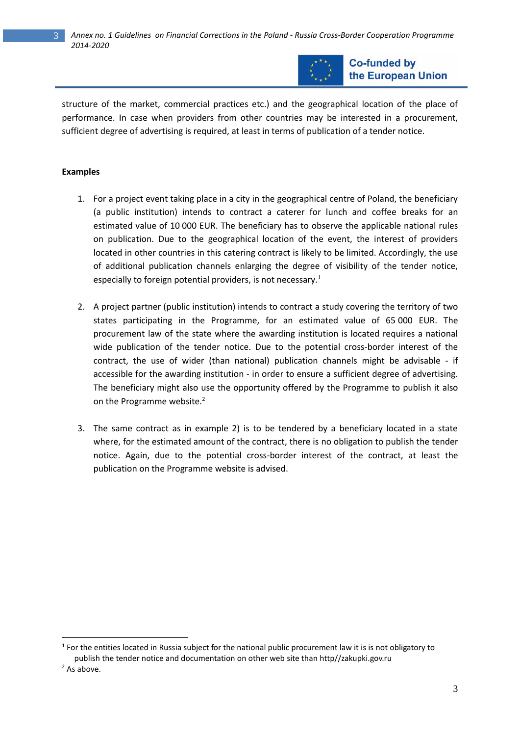3 *Annex no. 1 Guidelines on Financial Corrections in the Poland - Russia Cross-Border Cooperation Programme 2014-2020*



**Co-funded by** the European Union

structure of the market, commercial practices etc.) and the geographical location of the place of performance. In case when providers from other countries may be interested in a procurement, sufficient degree of advertising is required, at least in terms of publication of a tender notice.

#### **Examples**

- 1. For a project event taking place in a city in the geographical centre of Poland, the beneficiary (a public institution) intends to contract a caterer for lunch and coffee breaks for an estimated value of 10 000 EUR. The beneficiary has to observe the applicable national rules on publication. Due to the geographical location of the event, the interest of providers located in other countries in this catering contract is likely to be limited. Accordingly, the use of additional publication channels enlarging the degree of visibility of the tender notice, especially to foreign potential providers, is not necessary.<sup>1</sup>
- 2. A project partner (public institution) intends to contract a study covering the territory of two states participating in the Programme, for an estimated value of 65 000 EUR. The procurement law of the state where the awarding institution is located requires a national wide publication of the tender notice. Due to the potential cross-border interest of the contract, the use of wider (than national) publication channels might be advisable - if accessible for the awarding institution - in order to ensure a sufficient degree of advertising. The beneficiary might also use the opportunity offered by the Programme to publish it also on the Programme website.<sup>2</sup>
- 3. The same contract as in example 2) is to be tendered by a beneficiary located in a state where, for the estimated amount of the contract, there is no obligation to publish the tender notice. Again, due to the potential cross-border interest of the contract, at least the publication on the Programme website is advised.

 $1$  For the entities located in Russia subject for the national public procurement law it is is not obligatory to publish the tender notice and documentation on other web site than http//zakupki.gov.ru <sup>2</sup> As above.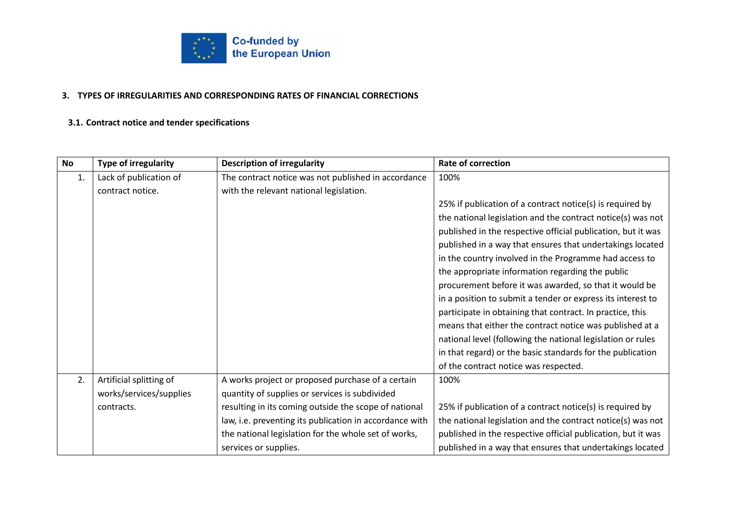

#### **3. TYPES OF IRREGULARITIES AND CORRESPONDING RATES OF FINANCIAL CORRECTIONS**

### **3.1. Contract notice and tender specifications**

| <b>No</b> | <b>Type of irregularity</b> | <b>Description of irregularity</b>                      | <b>Rate of correction</b>                                    |
|-----------|-----------------------------|---------------------------------------------------------|--------------------------------------------------------------|
| 1.        | Lack of publication of      | The contract notice was not published in accordance     | 100%                                                         |
|           | contract notice.            | with the relevant national legislation.                 |                                                              |
|           |                             |                                                         | 25% if publication of a contract notice(s) is required by    |
|           |                             |                                                         | the national legislation and the contract notice(s) was not  |
|           |                             |                                                         | published in the respective official publication, but it was |
|           |                             |                                                         | published in a way that ensures that undertakings located    |
|           |                             |                                                         | in the country involved in the Programme had access to       |
|           |                             |                                                         | the appropriate information regarding the public             |
|           |                             |                                                         | procurement before it was awarded, so that it would be       |
|           |                             |                                                         | in a position to submit a tender or express its interest to  |
|           |                             |                                                         | participate in obtaining that contract. In practice, this    |
|           |                             |                                                         | means that either the contract notice was published at a     |
|           |                             |                                                         | national level (following the national legislation or rules  |
|           |                             |                                                         | in that regard) or the basic standards for the publication   |
|           |                             |                                                         | of the contract notice was respected.                        |
| 2.        | Artificial splitting of     | A works project or proposed purchase of a certain       | 100%                                                         |
|           | works/services/supplies     | quantity of supplies or services is subdivided          |                                                              |
|           | contracts.                  | resulting in its coming outside the scope of national   | 25% if publication of a contract notice(s) is required by    |
|           |                             | law, i.e. preventing its publication in accordance with | the national legislation and the contract notice(s) was not  |
|           |                             | the national legislation for the whole set of works,    | published in the respective official publication, but it was |
|           |                             | services or supplies.                                   | published in a way that ensures that undertakings located    |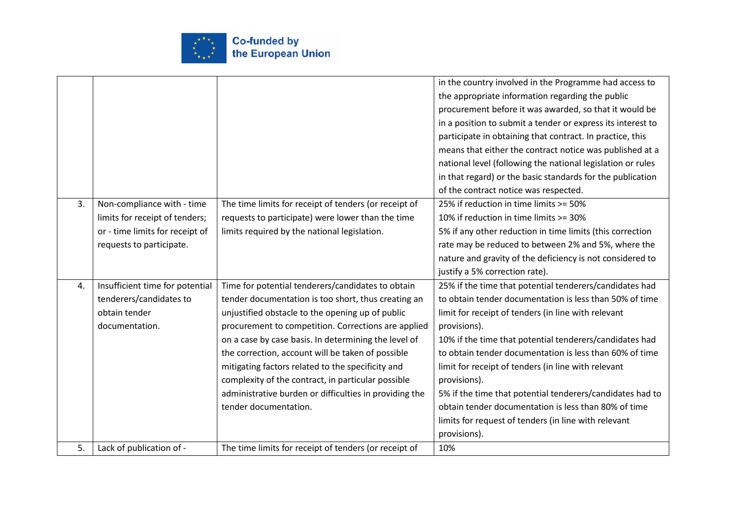

|    |                                 |                                                        | in the country involved in the Programme had access to      |
|----|---------------------------------|--------------------------------------------------------|-------------------------------------------------------------|
|    |                                 |                                                        | the appropriate information regarding the public            |
|    |                                 |                                                        | procurement before it was awarded, so that it would be      |
|    |                                 |                                                        | in a position to submit a tender or express its interest to |
|    |                                 |                                                        | participate in obtaining that contract. In practice, this   |
|    |                                 |                                                        | means that either the contract notice was published at a    |
|    |                                 |                                                        | national level (following the national legislation or rules |
|    |                                 |                                                        | in that regard) or the basic standards for the publication  |
|    |                                 |                                                        | of the contract notice was respected.                       |
| 3. | Non-compliance with - time      | The time limits for receipt of tenders (or receipt of  | 25% if reduction in time limits >= 50%                      |
|    | limits for receipt of tenders;  | requests to participate) were lower than the time      | 10% if reduction in time limits >= 30%                      |
|    | or - time limits for receipt of | limits required by the national legislation.           | 5% if any other reduction in time limits (this correction   |
|    | requests to participate.        |                                                        | rate may be reduced to between 2% and 5%, where the         |
|    |                                 |                                                        | nature and gravity of the deficiency is not considered to   |
|    |                                 |                                                        | justify a 5% correction rate).                              |
| 4. | Insufficient time for potential | Time for potential tenderers/candidates to obtain      | 25% if the time that potential tenderers/candidates had     |
|    | tenderers/candidates to         | tender documentation is too short, thus creating an    | to obtain tender documentation is less than 50% of time     |
|    | obtain tender                   | unjustified obstacle to the opening up of public       | limit for receipt of tenders (in line with relevant         |
|    | documentation.                  | procurement to competition. Corrections are applied    | provisions).                                                |
|    |                                 | on a case by case basis. In determining the level of   | 10% if the time that potential tenderers/candidates had     |
|    |                                 | the correction, account will be taken of possible      | to obtain tender documentation is less than 60% of time     |
|    |                                 | mitigating factors related to the specificity and      | limit for receipt of tenders (in line with relevant         |
|    |                                 | complexity of the contract, in particular possible     | provisions).                                                |
|    |                                 | administrative burden or difficulties in providing the | 5% if the time that potential tenderers/candidates had to   |
|    |                                 | tender documentation.                                  | obtain tender documentation is less than 80% of time        |
|    |                                 |                                                        | limits for request of tenders (in line with relevant        |
|    |                                 |                                                        | provisions).                                                |
| 5. | Lack of publication of -        | The time limits for receipt of tenders (or receipt of  | 10%                                                         |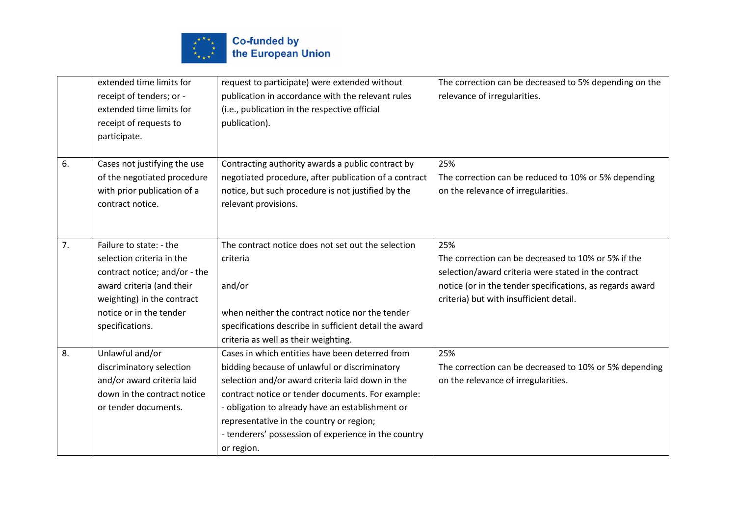

|    | extended time limits for<br>receipt of tenders; or - | request to participate) were extended without<br>publication in accordance with the relevant rules | The correction can be decreased to 5% depending on the<br>relevance of irregularities. |
|----|------------------------------------------------------|----------------------------------------------------------------------------------------------------|----------------------------------------------------------------------------------------|
|    | extended time limits for<br>receipt of requests to   | (i.e., publication in the respective official<br>publication).                                     |                                                                                        |
|    | participate.                                         |                                                                                                    |                                                                                        |
| 6. | Cases not justifying the use                         | Contracting authority awards a public contract by                                                  | 25%                                                                                    |
|    | of the negotiated procedure                          | negotiated procedure, after publication of a contract                                              | The correction can be reduced to 10% or 5% depending                                   |
|    | with prior publication of a                          | notice, but such procedure is not justified by the                                                 | on the relevance of irregularities.                                                    |
|    | contract notice.                                     | relevant provisions.                                                                               |                                                                                        |
|    |                                                      |                                                                                                    |                                                                                        |
| 7. | Failure to state: - the                              | The contract notice does not set out the selection                                                 | 25%                                                                                    |
|    | selection criteria in the                            | criteria                                                                                           | The correction can be decreased to 10% or 5% if the                                    |
|    | contract notice; and/or - the                        |                                                                                                    | selection/award criteria were stated in the contract                                   |
|    | award criteria (and their                            | and/or                                                                                             | notice (or in the tender specifications, as regards award                              |
|    | weighting) in the contract                           |                                                                                                    | criteria) but with insufficient detail.                                                |
|    | notice or in the tender                              | when neither the contract notice nor the tender                                                    |                                                                                        |
|    | specifications.                                      | specifications describe in sufficient detail the award                                             |                                                                                        |
|    |                                                      | criteria as well as their weighting.                                                               |                                                                                        |
| 8. | Unlawful and/or                                      | Cases in which entities have been deterred from                                                    | 25%                                                                                    |
|    | discriminatory selection                             | bidding because of unlawful or discriminatory                                                      | The correction can be decreased to 10% or 5% depending                                 |
|    | and/or award criteria laid                           | selection and/or award criteria laid down in the                                                   | on the relevance of irregularities.                                                    |
|    | down in the contract notice                          | contract notice or tender documents. For example:                                                  |                                                                                        |
|    | or tender documents.                                 | - obligation to already have an establishment or                                                   |                                                                                        |
|    |                                                      | representative in the country or region;                                                           |                                                                                        |
|    |                                                      | - tenderers' possession of experience in the country                                               |                                                                                        |
|    |                                                      | or region.                                                                                         |                                                                                        |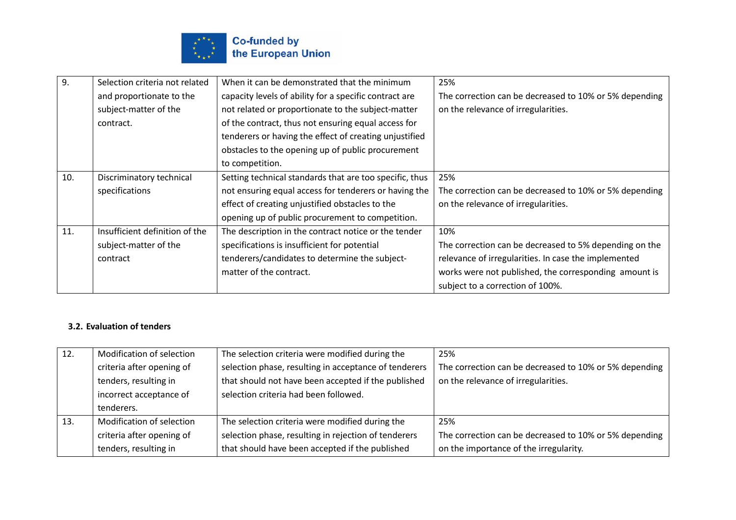

| 9.  | Selection criteria not related | When it can be demonstrated that the minimum            | 25%                                                    |
|-----|--------------------------------|---------------------------------------------------------|--------------------------------------------------------|
|     | and proportionate to the       | capacity levels of ability for a specific contract are  | The correction can be decreased to 10% or 5% depending |
|     | subject-matter of the          | not related or proportionate to the subject-matter      | on the relevance of irregularities.                    |
|     | contract.                      | of the contract, thus not ensuring equal access for     |                                                        |
|     |                                | tenderers or having the effect of creating unjustified  |                                                        |
|     |                                | obstacles to the opening up of public procurement       |                                                        |
|     |                                | to competition.                                         |                                                        |
| 10. | Discriminatory technical       | Setting technical standards that are too specific, thus | 25%                                                    |
|     | specifications                 | not ensuring equal access for tenderers or having the   | The correction can be decreased to 10% or 5% depending |
|     |                                | effect of creating unjustified obstacles to the         | on the relevance of irregularities.                    |
|     |                                | opening up of public procurement to competition.        |                                                        |
| 11. | Insufficient definition of the | The description in the contract notice or the tender    | 10%                                                    |
|     | subject-matter of the          | specifications is insufficient for potential            | The correction can be decreased to 5% depending on the |
|     | contract                       | tenderers/candidates to determine the subject-          | relevance of irregularities. In case the implemented   |
|     |                                | matter of the contract.                                 | works were not published, the corresponding amount is  |
|     |                                |                                                         | subject to a correction of 100%.                       |

# **3.2. Evaluation of tenders**

| 12. | Modification of selection | The selection criteria were modified during the       | 25%                                                    |
|-----|---------------------------|-------------------------------------------------------|--------------------------------------------------------|
|     | criteria after opening of | selection phase, resulting in acceptance of tenderers | The correction can be decreased to 10% or 5% depending |
|     | tenders, resulting in     | that should not have been accepted if the published   | on the relevance of irregularities.                    |
|     | incorrect acceptance of   | selection criteria had been followed.                 |                                                        |
|     | tenderers.                |                                                       |                                                        |
| 13. | Modification of selection | The selection criteria were modified during the       | 25%                                                    |
|     | criteria after opening of | selection phase, resulting in rejection of tenderers  | The correction can be decreased to 10% or 5% depending |
|     |                           |                                                       |                                                        |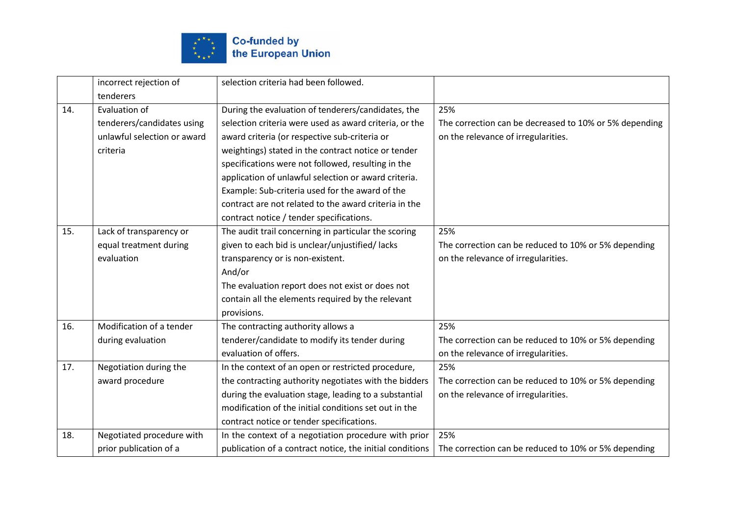

|     | incorrect rejection of      | selection criteria had been followed.                    |                                                        |
|-----|-----------------------------|----------------------------------------------------------|--------------------------------------------------------|
|     | tenderers                   |                                                          |                                                        |
| 14. | Evaluation of               | During the evaluation of tenderers/candidates, the       | 25%                                                    |
|     | tenderers/candidates using  | selection criteria were used as award criteria, or the   | The correction can be decreased to 10% or 5% depending |
|     | unlawful selection or award | award criteria (or respective sub-criteria or            | on the relevance of irregularities.                    |
|     | criteria                    | weightings) stated in the contract notice or tender      |                                                        |
|     |                             | specifications were not followed, resulting in the       |                                                        |
|     |                             | application of unlawful selection or award criteria.     |                                                        |
|     |                             | Example: Sub-criteria used for the award of the          |                                                        |
|     |                             | contract are not related to the award criteria in the    |                                                        |
|     |                             | contract notice / tender specifications.                 |                                                        |
| 15. | Lack of transparency or     | The audit trail concerning in particular the scoring     | 25%                                                    |
|     | equal treatment during      | given to each bid is unclear/unjustified/lacks           | The correction can be reduced to 10% or 5% depending   |
|     | evaluation                  | transparency or is non-existent.                         | on the relevance of irregularities.                    |
|     |                             | And/or                                                   |                                                        |
|     |                             | The evaluation report does not exist or does not         |                                                        |
|     |                             | contain all the elements required by the relevant        |                                                        |
|     |                             | provisions.                                              |                                                        |
| 16. | Modification of a tender    | The contracting authority allows a                       | 25%                                                    |
|     | during evaluation           | tenderer/candidate to modify its tender during           | The correction can be reduced to 10% or 5% depending   |
|     |                             | evaluation of offers.                                    | on the relevance of irregularities.                    |
| 17. | Negotiation during the      | In the context of an open or restricted procedure,       | 25%                                                    |
|     | award procedure             | the contracting authority negotiates with the bidders    | The correction can be reduced to 10% or 5% depending   |
|     |                             | during the evaluation stage, leading to a substantial    | on the relevance of irregularities.                    |
|     |                             | modification of the initial conditions set out in the    |                                                        |
|     |                             | contract notice or tender specifications.                |                                                        |
| 18. | Negotiated procedure with   | In the context of a negotiation procedure with prior     | 25%                                                    |
|     | prior publication of a      | publication of a contract notice, the initial conditions | The correction can be reduced to 10% or 5% depending   |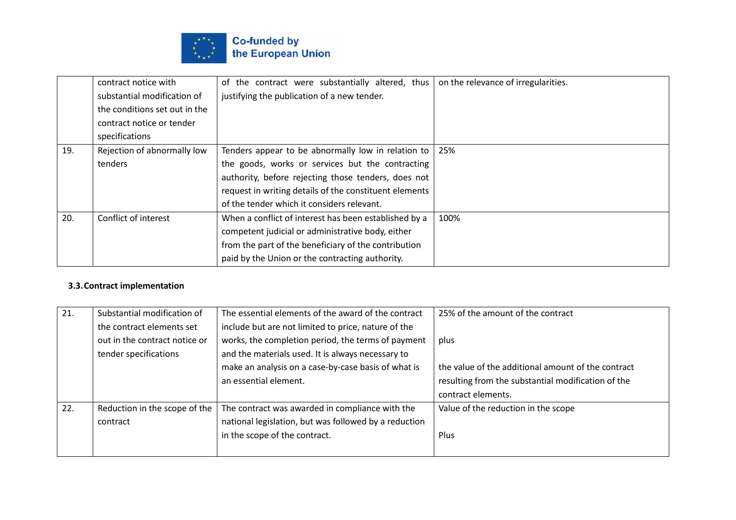

|     | contract notice with          | of the contract were substantially altered, thus       | on the relevance of irregularities. |
|-----|-------------------------------|--------------------------------------------------------|-------------------------------------|
|     | substantial modification of   | justifying the publication of a new tender.            |                                     |
|     | the conditions set out in the |                                                        |                                     |
|     | contract notice or tender     |                                                        |                                     |
|     | specifications                |                                                        |                                     |
| 19. | Rejection of abnormally low   | Tenders appear to be abnormally low in relation to     | 25%                                 |
|     | tenders                       | the goods, works or services but the contracting       |                                     |
|     |                               | authority, before rejecting those tenders, does not    |                                     |
|     |                               | request in writing details of the constituent elements |                                     |
|     |                               | of the tender which it considers relevant.             |                                     |
| 20. | Conflict of interest          | When a conflict of interest has been established by a  | 100%                                |
|     |                               | competent judicial or administrative body, either      |                                     |
|     |                               | from the part of the beneficiary of the contribution   |                                     |
|     |                               | paid by the Union or the contracting authority.        |                                     |

# **3.3.Contract implementation**

| 21. | Substantial modification of   | The essential elements of the award of the contract   | 25% of the amount of the contract                  |
|-----|-------------------------------|-------------------------------------------------------|----------------------------------------------------|
|     | the contract elements set     | include but are not limited to price, nature of the   |                                                    |
|     | out in the contract notice or | works, the completion period, the terms of payment    | plus                                               |
|     | tender specifications         | and the materials used. It is always necessary to     |                                                    |
|     |                               | make an analysis on a case-by-case basis of what is   | the value of the additional amount of the contract |
|     |                               | an essential element.                                 | resulting from the substantial modification of the |
|     |                               |                                                       | contract elements.                                 |
| 22. | Reduction in the scope of the | The contract was awarded in compliance with the       | Value of the reduction in the scope                |
|     | contract                      | national legislation, but was followed by a reduction |                                                    |
|     |                               | in the scope of the contract.                         | <b>Plus</b>                                        |
|     |                               |                                                       |                                                    |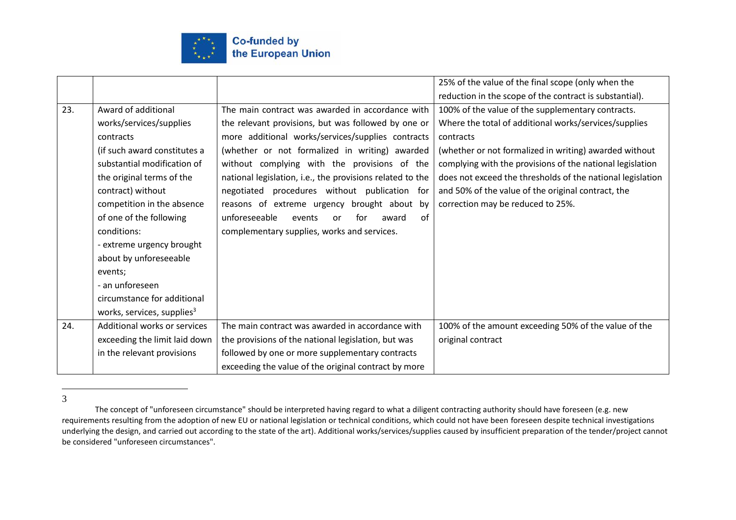

|     |                                        |                                                           | 25% of the value of the final scope (only when the         |
|-----|----------------------------------------|-----------------------------------------------------------|------------------------------------------------------------|
|     |                                        |                                                           | reduction in the scope of the contract is substantial).    |
| 23. | Award of additional                    | The main contract was awarded in accordance with          | 100% of the value of the supplementary contracts.          |
|     | works/services/supplies                | the relevant provisions, but was followed by one or       | Where the total of additional works/services/supplies      |
|     | contracts                              | more additional works/services/supplies contracts         | contracts                                                  |
|     | (if such award constitutes a           | (whether or not formalized in writing) awarded            | (whether or not formalized in writing) awarded without     |
|     | substantial modification of            | without complying with the provisions of the              | complying with the provisions of the national legislation  |
|     | the original terms of the              | national legislation, i.e., the provisions related to the | does not exceed the thresholds of the national legislation |
|     | contract) without                      | negotiated procedures without publication for             | and 50% of the value of the original contract, the         |
|     | competition in the absence             | reasons of extreme urgency brought about by               | correction may be reduced to 25%.                          |
|     | of one of the following                | unforeseeable<br>of<br>events<br>for<br>award<br>or       |                                                            |
|     | conditions:                            | complementary supplies, works and services.               |                                                            |
|     | - extreme urgency brought              |                                                           |                                                            |
|     | about by unforeseeable                 |                                                           |                                                            |
|     | events;                                |                                                           |                                                            |
|     | - an unforeseen                        |                                                           |                                                            |
|     | circumstance for additional            |                                                           |                                                            |
|     | works, services, supplies <sup>3</sup> |                                                           |                                                            |
| 24. | Additional works or services           | The main contract was awarded in accordance with          | 100% of the amount exceeding 50% of the value of the       |
|     | exceeding the limit laid down          | the provisions of the national legislation, but was       | original contract                                          |
|     | in the relevant provisions             | followed by one or more supplementary contracts           |                                                            |
|     |                                        | exceeding the value of the original contract by more      |                                                            |

3

The concept of "unforeseen circumstance" should be interpreted having regard to what a diligent contracting authority should have foreseen (e.g. new requirements resulting from the adoption of new EU or national legislation or technical conditions, which could not have been foreseen despite technical investigations underlying the design, and carried out according to the state of the art). Additional works/services/supplies caused by insufficient preparation of the tender/project cannot be considered "unforeseen circumstances".